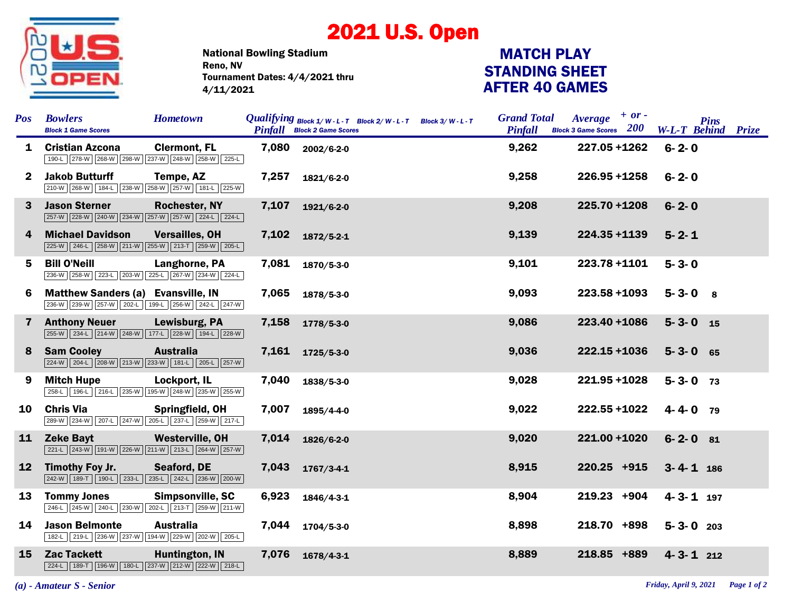## 2021 U.S. Open



National Bowling Stadium Tournament Dates: 4/4/2021 thru 4/11/2021 Reno, NV

## STANDING SHEET AFTER 40 GAMES MATCH PLAY

| <b>Pos</b>      | <b>Bowlers</b><br><b>Block 1 Game Scores</b>                                                 | <b>Hometown</b>        |       | <i>Qualifying</i> Block $1/W - L - T$ Block $2/W - L - T$ Block $3/W - L - T$<br><b>Pinfall</b> Block 2 Game Scores | <b>Grand Total</b><br><b>Pinfall</b> | $+$ or $-$<br><b>Average</b><br><b>Block 3 Game Scores</b> $200$ | <b>Pins</b><br><b>W-L-T Behind Prize</b> |  |
|-----------------|----------------------------------------------------------------------------------------------|------------------------|-------|---------------------------------------------------------------------------------------------------------------------|--------------------------------------|------------------------------------------------------------------|------------------------------------------|--|
| $\mathbf{1}$    | <b>Cristian Azcona</b><br>190-L 278-W 268-W 298-W 237-W 248-W 258-W 225-L                    | <b>Clermont, FL</b>    | 7,080 | $2002/6 - 2 - 0$                                                                                                    | 9,262                                | 227.05 +1262                                                     | $6 - 2 - 0$                              |  |
| $\mathbf{2}^-$  | <b>Jakob Butturff</b><br>210-W 268-W 184-L 238-W 258-W 257-W 181-L 225-W                     | Tempe, AZ              | 7,257 | $1821/6 - 2 - 0$                                                                                                    | 9,258                                | 226.95 +1258                                                     | $6 - 2 - 0$                              |  |
| 3               | <b>Jason Sterner</b><br>257-W 228-W 240-W 234-W 257-W 257-W 224-L 224-L                      | <b>Rochester, NY</b>   | 7,107 | $1921/6 - 2 - 0$                                                                                                    | 9,208                                | 225.70 +1208                                                     | $6 - 2 - 0$                              |  |
| 4               | <b>Michael Davidson</b><br>225-W 246-L 258-W 211-W 255-W 213-T 259-W 205-L                   | <b>Versailles, OH</b>  | 7,102 | $1872/5 - 2 - 1$                                                                                                    | 9,139                                | 224.35 +1139                                                     | $5 - 2 - 1$                              |  |
| 5.              | <b>Bill O'Neill</b><br>236-W 258-W 223-L 203-W 225-L 267-W 234-W 224-L                       | Langhorne, PA          | 7,081 | 1870/5-3-0                                                                                                          | 9,101                                | 223.78 +1101                                                     | $5 - 3 - 0$                              |  |
| 6               | <b>Matthew Sanders (a) Evansville, IN</b><br>236-W 239-W 257-W 202-L 199-L 256-W 242-L 247-W |                        | 7,065 | 1878/5-3-0                                                                                                          | 9,093                                | 223.58 +1093                                                     | $5 - 3 - 0$ 8                            |  |
| $\mathbf{7}$    | <b>Anthony Neuer</b><br>255-W 234-L 214-W 248-W 177-L 228-W 194-L 228-W                      | Lewisburg, PA          | 7,158 | 1778/5-3-0                                                                                                          | 9,086                                | 223.40 +1086                                                     | $5 - 3 - 0$ 15                           |  |
| 8               | <b>Sam Cooley</b><br>224-W 204-L 208-W 213-W 233-W 181-L 205-L 257-W                         | <b>Australia</b>       | 7,161 | 1725/5-3-0                                                                                                          | 9,036                                | 222.15 +1036                                                     | $5 - 3 - 0$ 65                           |  |
| 9               | <b>Mitch Hupe</b><br>258-L   196-L   216-L   235-W   195-W   248-W   235-W   255-W           | Lockport, IL           | 7,040 | 1838/5-3-0                                                                                                          | 9,028                                | 221.95 +1028                                                     | $5 - 3 - 0$ 73                           |  |
| 10              | <b>Chris Via</b><br>289-W 234-W 207-L 247-W 205-L 237-L 259-W 217-L                          | Springfield, OH        | 7,007 | 1895/4-4-0                                                                                                          | 9,022                                | 222.55 +1022                                                     | $4 - 4 - 0$ 79                           |  |
| 11              | <b>Zeke Bayt</b><br>221-L 243-W 191-W 226-W 211-W 213-L 264-W 257-W                          | <b>Westerville, OH</b> | 7,014 | 1826/6-2-0                                                                                                          | 9,020                                | 221.00 +1020                                                     | $6 - 2 - 0$ 81                           |  |
| 12 <sup>7</sup> | Timothy Foy Jr.<br>242-W 189-T 190-L 233-L 235-L 242-L 236-W 200-W                           | <b>Seaford, DE</b>     | 7,043 | $1767/3 - 4 - 1$                                                                                                    | 8,915                                | 220.25 +915                                                      | $3 - 4 - 1$ 186                          |  |
| 13              | <b>Tommy Jones</b><br>246-L 245-W 240-L 230-W 202-L 213-T 259-W 211-W                        | Simpsonville, SC       | 6,923 | 1846/4-3-1                                                                                                          | 8,904                                | 219.23 +904                                                      | $4 - 3 - 1$ 197                          |  |
| 14              | <b>Jason Belmonte</b><br>182-L 219-L 236-W 237-W 194-W 229-W 202-W 205-L                     | <b>Australia</b>       | 7,044 | $1704/5 - 3 - 0$                                                                                                    | 8,898                                | 218.70 +898                                                      | $5 - 3 - 0$ 203                          |  |
| 15              | <b>Zac Tackett</b><br>224-L 189-T 196-W 180-L 237-W 212-W 222-W 218-L                        | Huntington, IN         | 7,076 | $1678/4 - 3 - 1$                                                                                                    | 8,889                                | 218.85 +889                                                      | $4 - 3 - 1$ 212                          |  |